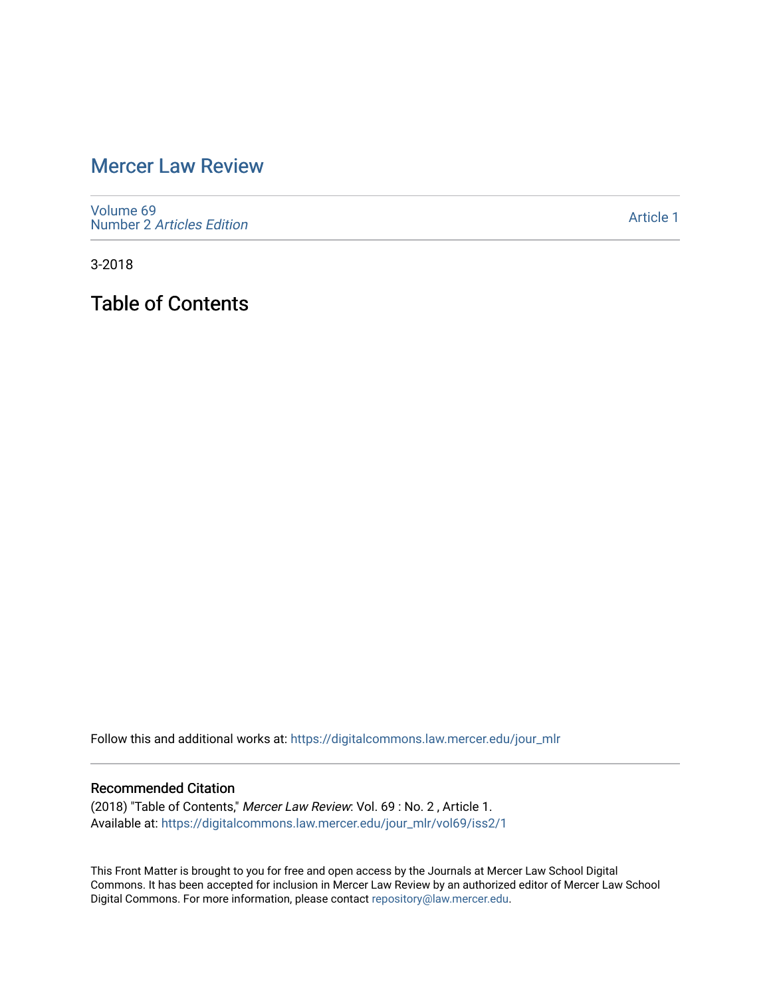# [Mercer Law Review](https://digitalcommons.law.mercer.edu/jour_mlr)

[Volume 69](https://digitalcommons.law.mercer.edu/jour_mlr/vol69) Number 2 [Articles Edition](https://digitalcommons.law.mercer.edu/jour_mlr/vol69/iss2) 

[Article 1](https://digitalcommons.law.mercer.edu/jour_mlr/vol69/iss2/1) 

3-2018

Table of Contents

Follow this and additional works at: [https://digitalcommons.law.mercer.edu/jour\\_mlr](https://digitalcommons.law.mercer.edu/jour_mlr?utm_source=digitalcommons.law.mercer.edu%2Fjour_mlr%2Fvol69%2Fiss2%2F1&utm_medium=PDF&utm_campaign=PDFCoverPages)

#### Recommended Citation

(2018) "Table of Contents," Mercer Law Review: Vol. 69 : No. 2 , Article 1. Available at: [https://digitalcommons.law.mercer.edu/jour\\_mlr/vol69/iss2/1](https://digitalcommons.law.mercer.edu/jour_mlr/vol69/iss2/1?utm_source=digitalcommons.law.mercer.edu%2Fjour_mlr%2Fvol69%2Fiss2%2F1&utm_medium=PDF&utm_campaign=PDFCoverPages)

This Front Matter is brought to you for free and open access by the Journals at Mercer Law School Digital Commons. It has been accepted for inclusion in Mercer Law Review by an authorized editor of Mercer Law School Digital Commons. For more information, please contact [repository@law.mercer.edu](mailto:repository@law.mercer.edu).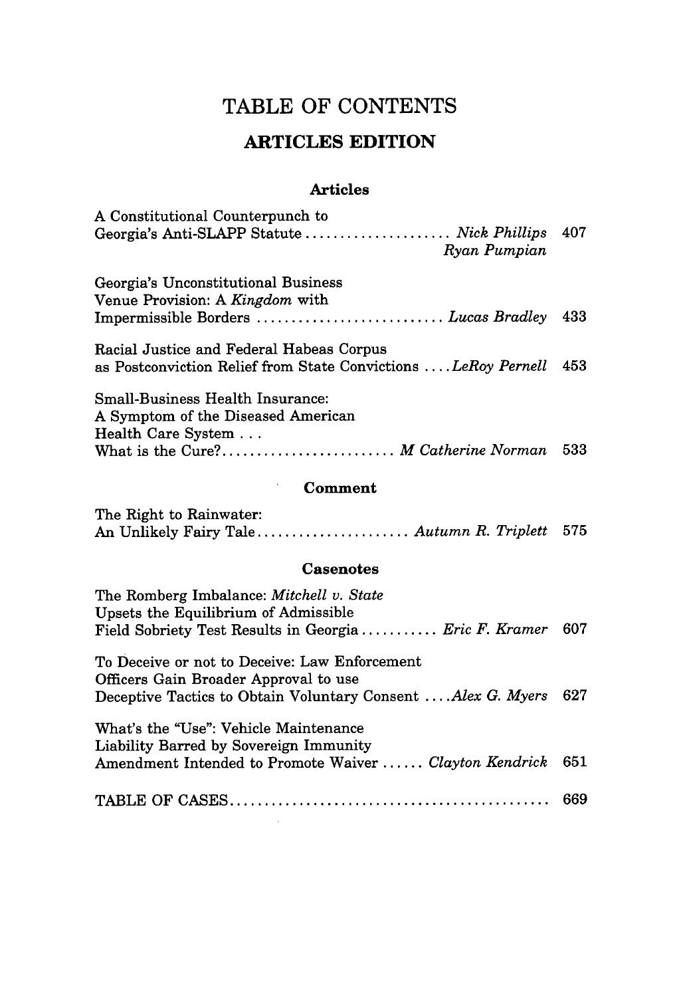## TABLE OF **CONTENTS**

## **ARTICLES EDITION**

### **Articles**

| A Constitutional Counterpunch to<br>Georgia's Anti-SLAPP Statute  Nick Phillips 407<br>Ryan Pumpian                                      |     |
|------------------------------------------------------------------------------------------------------------------------------------------|-----|
| Georgia's Unconstitutional Business<br>Venue Provision: A Kingdom with<br>Impermissible Borders  Lucas Bradley                           | 433 |
| Racial Justice and Federal Habeas Corpus<br>as Postconviction Relief from State Convictions  LeRoy Pernell 453                           |     |
| Small-Business Health Insurance:<br>A Symptom of the Diseased American<br>Health Care System<br>What is the Cure? M Catherine Norman 533 |     |
|                                                                                                                                          |     |

### Comment

 $\bar{\gamma}$ 

 $\sim 10^{-1}$ 

| The Right to Rainwater:                       |  |
|-----------------------------------------------|--|
| An Unlikely Fairy Tale Autumn R. Triplett 575 |  |

### **Casenotes**

| The Romberg Imbalance: Mitchell v. State<br>Upsets the Equilibrium of Admissible<br>Field Sobriety Test Results in Georgia Eric F. Kramer             | 607 |
|-------------------------------------------------------------------------------------------------------------------------------------------------------|-----|
| To Deceive or not to Deceive: Law Enforcement<br>Officers Gain Broader Approval to use<br>Deceptive Tactics to Obtain Voluntary Consent Alex G. Myers | 627 |
| What's the "Use": Vehicle Maintenance<br>Liability Barred by Sovereign Immunity<br>Amendment Intended to Promote Waiver  Clayton Kendrick             | 651 |
|                                                                                                                                                       | 669 |